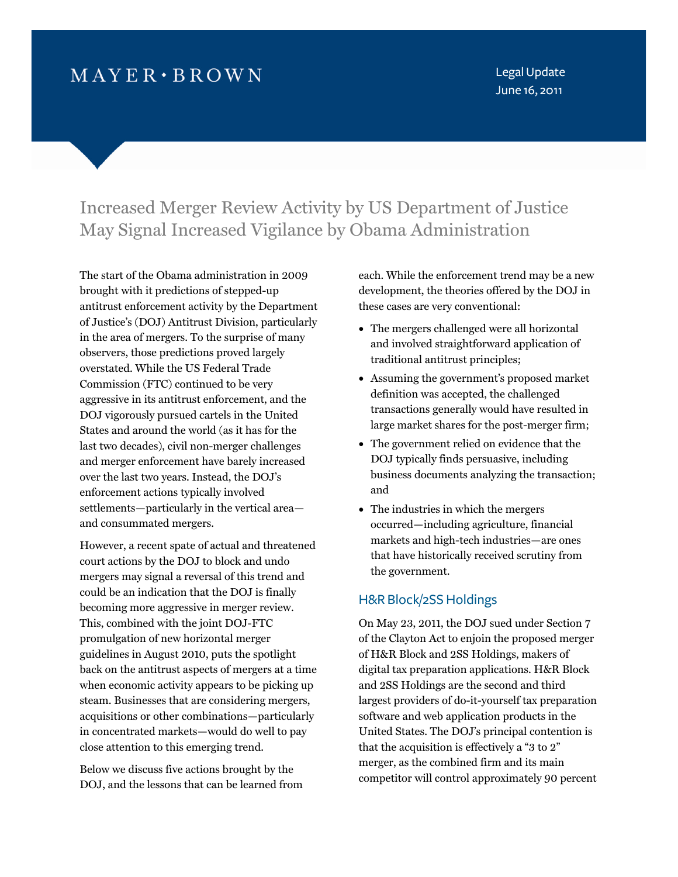# $MAYER \cdot BROWN$

Legal Update June 16, 2011

# Increased Merger Review Activity by US Department of Justice May Signal Increased Vigilance by Obama Administration

The start of the Obama administration in 2009 brought with it predictions of stepped-up antitrust enforcement activity by the Department of Justice's (DOJ) Antitrust Division, particularly in the area of mergers. To the surprise of many observers, those predictions proved largely overstated. While the US Federal Trade Commission (FTC) continued to be very aggressive in its antitrust enforcement, and the DOJ vigorously pursued cartels in the United States and around the world (as it has for the last two decades), civil non-merger challenges and merger enforcement have barely increased over the last two years. Instead, the DOJ's enforcement actions typically involved settlements—particularly in the vertical area and consummated mergers.

However, a recent spate of actual and threatened court actions by the DOJ to block and undo mergers may signal a reversal of this trend and could be an indication that the DOJ is finally becoming more aggressive in merger review. This, combined with the joint DOJ-FTC promulgation of new horizontal merger guidelines in August 2010, puts the spotlight back on the antitrust aspects of mergers at a time when economic activity appears to be picking up steam. Businesses that are considering mergers, acquisitions or other combinations—particularly in concentrated markets—would do well to pay close attention to this emerging trend.

Below we discuss five actions brought by the DOJ, and the lessons that can be learned from each. While the enforcement trend may be a new development, the theories offered by the DOJ in these cases are very conventional:

- The mergers challenged were all horizontal and involved straightforward application of traditional antitrust principles;
- Assuming the government's proposed market definition was accepted, the challenged transactions generally would have resulted in large market shares for the post-merger firm;
- The government relied on evidence that the DOJ typically finds persuasive, including business documents analyzing the transaction; and
- The industries in which the mergers occurred—including agriculture, financial markets and high-tech industries—are ones that have historically received scrutiny from the government.

### H&R Block/2SS Holdings

On May 23, 2011, the DOJ sued under Section 7 of the Clayton Act to enjoin the proposed merger of H&R Block and 2SS Holdings, makers of digital tax preparation applications. H&R Block and 2SS Holdings are the second and third largest providers of do-it-yourself tax preparation software and web application products in the United States. The DOJ's principal contention is that the acquisition is effectively a "3 to 2" merger, as the combined firm and its main competitor will control approximately 90 percent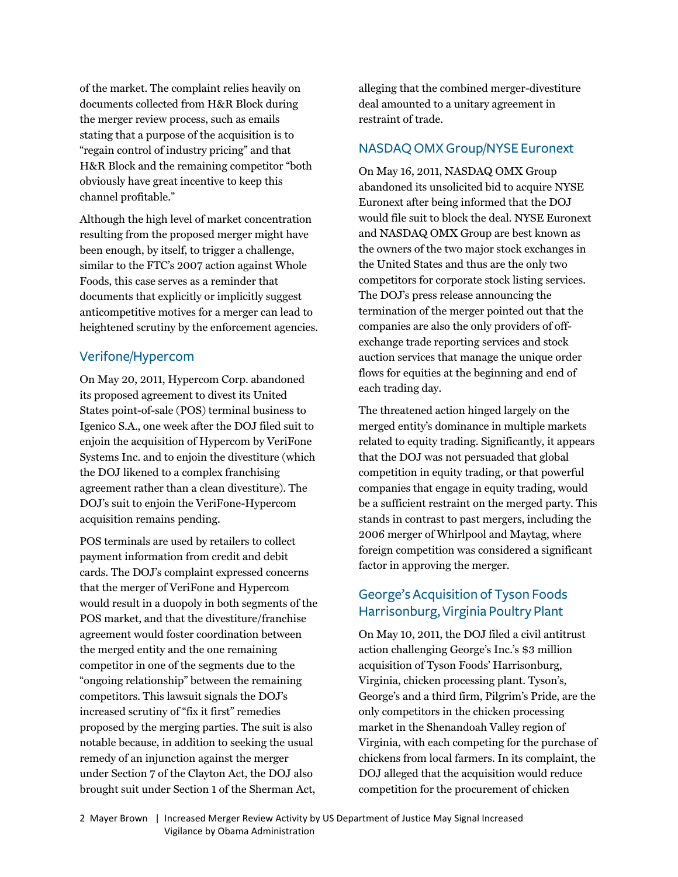of the market. The complaint relies heavily on documents collected from H&R Block during the merger review process, such as emails stating that a purpose of the acquisition is to "regain control of industry pricing" and that H&R Block and the remaining competitor "both obviously have great incentive to keep this channel profitable."

Although the high level of market concentration resulting from the proposed merger might have been enough, by itself, to trigger a challenge, similar to the FTC's 2007 action against Whole Foods, this case serves as a reminder that documents that explicitly or implicitly suggest anticompetitive motives for a merger can lead to heightened scrutiny by the enforcement agencies.

### Verifone/Hypercom

On May 20, 2011, Hypercom Corp. abandoned its proposed agreement to divest its United States point-of-sale (POS) terminal business to Igenico S.A., one week after the DOJ filed suit to enjoin the acquisition of Hypercom by VeriFone Systems Inc. and to enjoin the divestiture (which the DOJ likened to a complex franchising agreement rather than a clean divestiture). The DOJ's suit to enjoin the VeriFone-Hypercom acquisition remains pending.

POS terminals are used by retailers to collect payment information from credit and debit cards. The DOJ's complaint expressed concerns that the merger of VeriFone and Hypercom would result in a duopoly in both segments of the POS market, and that the divestiture/franchise agreement would foster coordination between the merged entity and the one remaining competitor in one of the segments due to the "ongoing relationship" between the remaining competitors. This lawsuit signals the DOJ's increased scrutiny of "fix it first" remedies proposed by the merging parties. The suit is also notable because, in addition to seeking the usual remedy of an injunction against the merger under Section 7 of the Clayton Act, the DOJ also brought suit under Section 1 of the Sherman Act,

alleging that the combined merger-divestiture deal amounted to a unitary agreement in restraint of trade.

#### NASDAQ OMX Group/NYSE Euronext

On May 16, 2011, NASDAQ OMX Group abandoned its unsolicited bid to acquire NYSE Euronext after being informed that the DOJ would file suit to block the deal. NYSE Euronext and NASDAQ OMX Group are best known as the owners of the two major stock exchanges in the United States and thus are the only two competitors for corporate stock listing services. The DOJ's press release announcing the termination of the merger pointed out that the companies are also the only providers of offexchange trade reporting services and stock auction services that manage the unique order flows for equities at the beginning and end of each trading day.

The threatened action hinged largely on the merged entity's dominance in multiple markets related to equity trading. Significantly, it appears that the DOJ was not persuaded that global competition in equity trading, or that powerful companies that engage in equity trading, would be a sufficient restraint on the merged party. This stands in contrast to past mergers, including the 2006 merger of Whirlpool and Maytag, where foreign competition was considered a significant factor in approving the merger.

## George's Acquisition of Tyson Foods Harrisonburg, Virginia Poultry Plant

On May 10, 2011, the DOJ filed a civil antitrust action challenging George's Inc.'s \$3 million acquisition of Tyson Foods' Harrisonburg, Virginia, chicken processing plant. Tyson's, George's and a third firm, Pilgrim's Pride, are the only competitors in the chicken processing market in the Shenandoah Valley region of Virginia, with each competing for the purchase of chickens from local farmers. In its complaint, the DOJ alleged that the acquisition would reduce competition for the procurement of chicken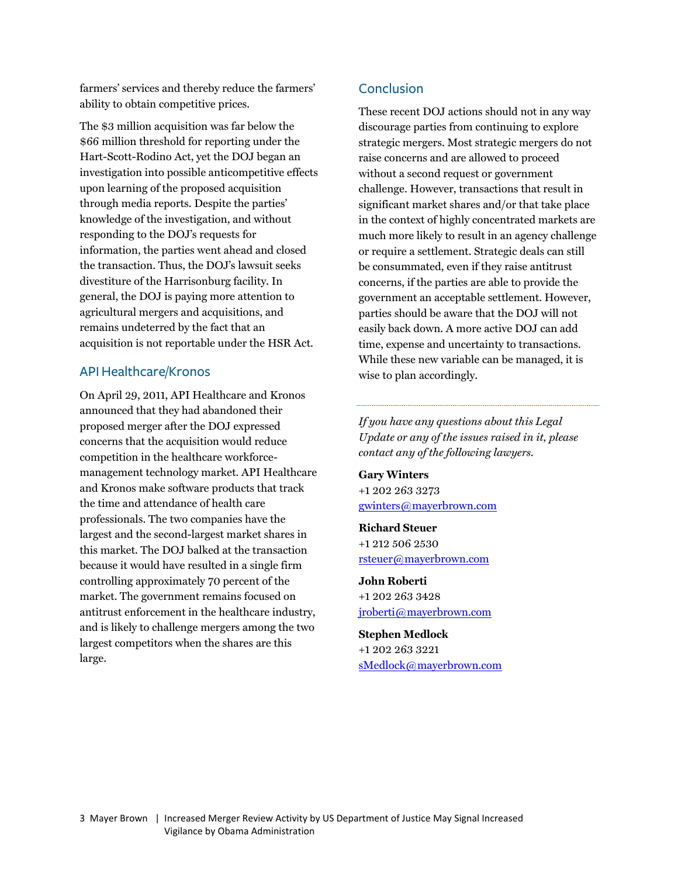farmers' services and thereby reduce the farmers' ability to obtain competitive prices.

The \$3 million acquisition was far below the \$66 million threshold for reporting under the Hart-Scott-Rodino Act, yet the DOJ began an investigation into possible anticompetitive effects upon learning of the proposed acquisition through media reports. Despite the parties' knowledge of the investigation, and without responding to the DOJ's requests for information, the parties went ahead and closed the transaction. Thus, the DOJ's lawsuit seeks divestiture of the Harrisonburg facility. In general, the DOJ is paying more attention to agricultural mergers and acquisitions, and remains undeterred by the fact that an acquisition is not reportable under the HSR Act.

#### API Healthcare/Kronos

On April 29, 2011, API Healthcare and Kronos announced that they had abandoned their proposed merger after the DOJ expressed concerns that the acquisition would reduce competition in the healthcare workforcemanagement technology market. API Healthcare and Kronos make software products that track the time and attendance of health care professionals. The two companies have the largest and the second-largest market shares in this market. The DOJ balked at the transaction because it would have resulted in a single firm controlling approximately 70 percent of the market. The government remains focused on antitrust enforcement in the healthcare industry, and is likely to challenge mergers among the two largest competitors when the shares are this large.

#### Conclusion

These recent DOJ actions should not in any way discourage parties from continuing to explore strategic mergers. Most strategic mergers do not raise concerns and are allowed to proceed without a second request or government challenge. However, transactions that result in significant market shares and/or that take place in the context of highly concentrated markets are much more likely to result in an agency challenge or require a settlement. Strategic deals can still be consummated, even if they raise antitrust concerns, if the parties are able to provide the government an acceptable settlement. However, parties should be aware that the DOJ will not easily back down. A more active DOJ can add time, expense and uncertainty to transactions. While these new variable can be managed, it is wise to plan accordingly.

*If you have any questions about this Legal Update or any of the issues raised in it, please contact any of the following lawyers.* 

**Gary Winters**  +1 202 263 3273 gwinters@mayerbrown.com

**Richard Steuer**  +1 212 506 2530 rsteuer@mayerbrown.com

**John Roberti**  +1 202 263 3428 jroberti@mayerbrown.com

**Stephen Medlock** 

+1 202 263 3221 sMedlock@mayerbrown.com